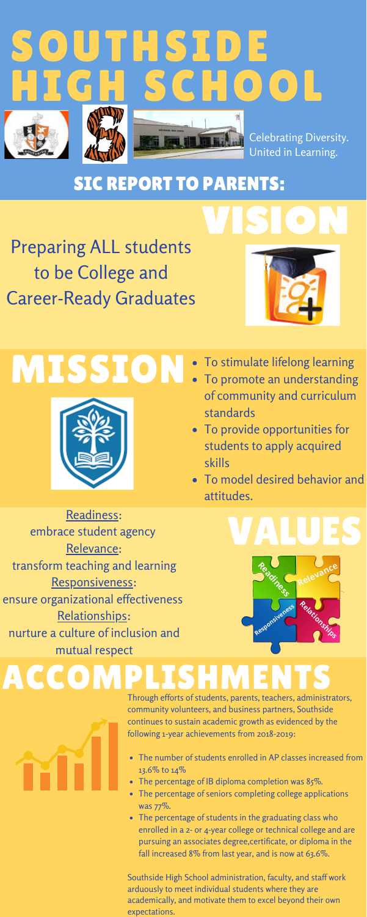## MISSION



- To stimulate lifelong learning
- To promote an understanding of community and curriculum standards
- To provide opportunities for students to apply acquired skills
- To model desired behavior and attitudes.





Readiness: embrace student agency Relevance: transform teaching and learning Responsiveness: ensure organizational effectiveness Relationships: nurture a culture of inclusion and mutual respect

#### SIC REPORT TO PARENTS:

Preparing ALL students to be College and Career-Ready Graduates



**VISION** 



### ACCOMPLISHM



- The number of students enrolled in AP classes increased from 13.6% to 14%
- The percentage of IB diploma completion was 85%.
- The percentage of seniors completing college applications was 77%.
- The percentage of students in the graduating class who enrolled in a 2- or 4-year college or technical college and are pursuing an associates degree,certificate, or diploma in the fall increased 8% from last year, and is now at 63.6%.

Through efforts of students, parents, teachers, administrators, community volunteers, and business partners, Southside continues to sustain academic growth as evidenced by the following 1-year achievements from 2018-2019:

Southside High School administration, faculty, and staff work arduously to meet individual students where they are academically, and motivate them to excel beyond their own expectations.